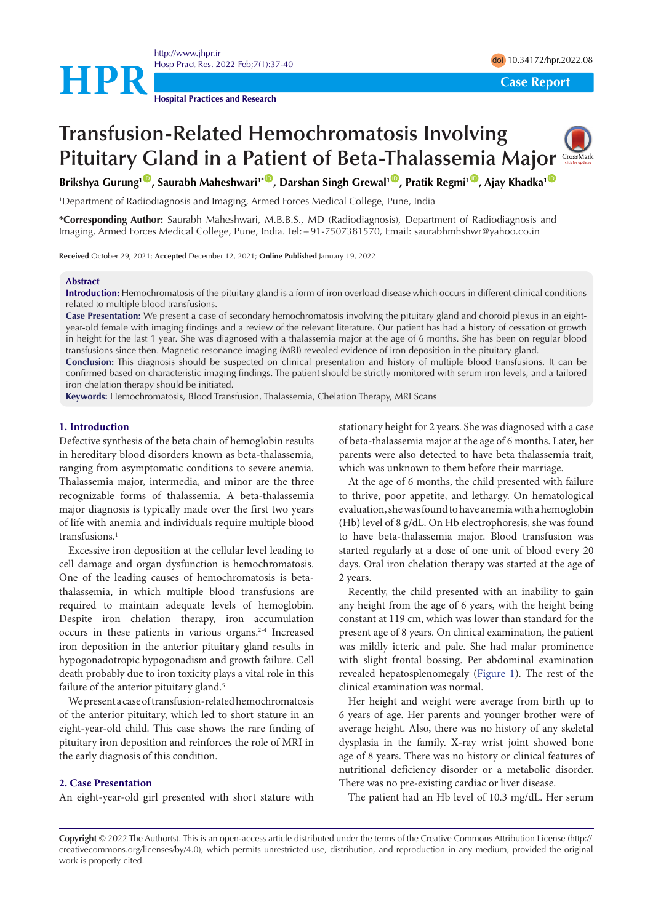

<http://www.jhpr.ir> Hosp Pract Res. 2022 Feb;7(1):37-40 doi [10.34172/hpr.2022.08](https://doi.org/10.34172/hpr.2022.08)

**Hospital Practices and Research**

# **Transfusion-Related Hemochromatosis Involving Pituitary Gland in a Patient of Beta-Thalassemia Major**

**Brikshya Gurung<sup>1</sup><sup>10</sup>, Saurabh Maheshwari<sup>1•10</sup>, Darshan Singh Grewal<sup>1</sup><sup>10</sup>, Pratik Regmi<sup>10</sup>, Ajay Khadka<sup>1</sup><sup>0</sup>** 

1 Department of Radiodiagnosis and Imaging, Armed Forces Medical College, Pune, India

**\*Corresponding Author:** Saurabh Maheshwari, M.B.B.S., MD (Radiodiagnosis), Department of Radiodiagnosis and Imaging, Armed Forces Medical College, Pune, India. Tel:+91-7507381570, Email: saurabhmhshwr@yahoo.co.in

**Received** October 29, 2021; **Accepted** December 12, 2021; **Online Published** January 19, 2022

# **Abstract**

**Introduction:** Hemochromatosis of the pituitary gland is a form of iron overload disease which occurs in different clinical conditions related to multiple blood transfusions.

**Case Presentation:** We present a case of secondary hemochromatosis involving the pituitary gland and choroid plexus in an eightyear-old female with imaging findings and a review of the relevant literature. Our patient has had a history of cessation of growth in height for the last 1 year. She was diagnosed with a thalassemia major at the age of 6 months. She has been on regular blood transfusions since then. Magnetic resonance imaging (MRI) revealed evidence of iron deposition in the pituitary gland.

**Conclusion:** This diagnosis should be suspected on clinical presentation and history of multiple blood transfusions. It can be confirmed based on characteristic imaging findings. The patient should be strictly monitored with serum iron levels, and a tailored iron chelation therapy should be initiated.

**Keywords:** Hemochromatosis, Blood Transfusion, Thalassemia, Chelation Therapy, MRI Scans

## **1. Introduction**

Defective synthesis of the beta chain of hemoglobin results in hereditary blood disorders known as beta-thalassemia, ranging from asymptomatic conditions to severe anemia. Thalassemia major, intermedia, and minor are the three recognizable forms of thalassemia. A beta-thalassemia major diagnosis is typically made over the first two years of life with anemia and individuals require multiple blood transfusions.1

Excessive iron deposition at the cellular level leading to cell damage and organ dysfunction is hemochromatosis. One of the leading causes of hemochromatosis is betathalassemia, in which multiple blood transfusions are required to maintain adequate levels of hemoglobin. Despite iron chelation therapy, iron accumulation occurs in these patients in various organs.<sup>2-4</sup> Increased iron deposition in the anterior pituitary gland results in hypogonadotropic hypogonadism and growth failure. Cell death probably due to iron toxicity plays a vital role in this failure of the anterior pituitary gland.<sup>5</sup>

We present a case of transfusion-related hemochromatosis of the anterior pituitary, which led to short stature in an eight-year-old child. This case shows the rare finding of pituitary iron deposition and reinforces the role of MRI in the early diagnosis of this condition.

## **2. Case Presentation**

An eight-year-old girl presented with short stature with

stationary height for 2 years. She was diagnosed with a case of beta-thalassemia major at the age of 6 months. Later, her parents were also detected to have beta thalassemia trait, which was unknown to them before their marriage.

At the age of 6 months, the child presented with failure to thrive, poor appetite, and lethargy. On hematological evaluation, she was found to have anemia with a hemoglobin (Hb) level of 8 g/dL. On Hb electrophoresis, she was found to have beta-thalassemia major. Blood transfusion was started regularly at a dose of one unit of blood every 20 days. Oral iron chelation therapy was started at the age of 2 years.

Recently, the child presented with an inability to gain any height from the age of 6 years, with the height being constant at 119 cm, which was lower than standard for the present age of 8 years. On clinical examination, the patient was mildly icteric and pale. She had malar prominence with slight frontal bossing. Per abdominal examination revealed hepatosplenomegaly [\(Figure 1\)](#page-1-0). The rest of the clinical examination was normal.

Her height and weight were average from birth up to 6 years of age. Her parents and younger brother were of average height. Also, there was no history of any skeletal dysplasia in the family. X-ray wrist joint showed bone age of 8 years. There was no history or clinical features of nutritional deficiency disorder or a metabolic disorder. There was no pre-existing cardiac or liver disease.

The patient had an Hb level of 10.3 mg/dL. Her serum

**Copyright** © 2022 The Author(s). This is an open-access article distributed under the terms of the Creative Commons Attribution License (http:// creativecommons.org/licenses/by/4.0), which permits unrestricted use, distribution, and reproduction in any medium, provided the original work is properly cited.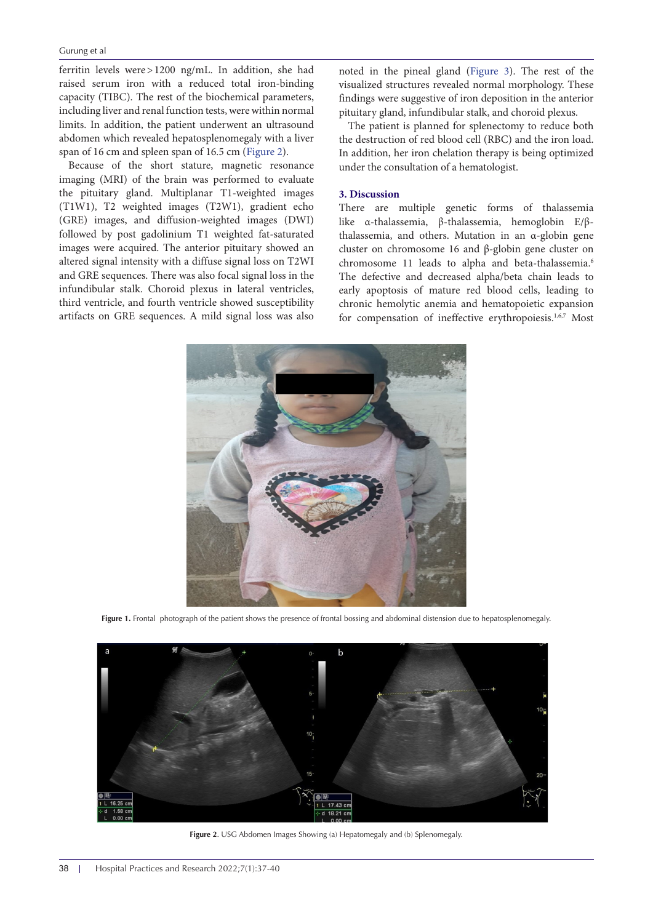#### Gurung et al

ferritin levels were>1200 ng/mL. In addition, she had raised serum iron with a reduced total iron-binding capacity (TIBC). The rest of the biochemical parameters, including liver and renal function tests, were within normal limits. In addition, the patient underwent an ultrasound abdomen which revealed hepatosplenomegaly with a liver span of 16 cm and spleen span of 16.5 cm ([Figure 2\)](#page-1-1).

Because of the short stature, magnetic resonance imaging (MRI) of the brain was performed to evaluate the pituitary gland. Multiplanar T1-weighted images (T1W1), T2 weighted images (T2W1), gradient echo (GRE) images, and diffusion-weighted images (DWI) followed by post gadolinium T1 weighted fat-saturated images were acquired. The anterior pituitary showed an altered signal intensity with a diffuse signal loss on T2WI and GRE sequences. There was also focal signal loss in the infundibular stalk. Choroid plexus in lateral ventricles, third ventricle, and fourth ventricle showed susceptibility artifacts on GRE sequences. A mild signal loss was also

noted in the pineal gland ([Figure 3](#page-2-0)). The rest of the visualized structures revealed normal morphology. These findings were suggestive of iron deposition in the anterior pituitary gland, infundibular stalk, and choroid plexus.

The patient is planned for splenectomy to reduce both the destruction of red blood cell (RBC) and the iron load. In addition, her iron chelation therapy is being optimized under the consultation of a hematologist.

#### **3. Discussion**

<span id="page-1-0"></span>There are multiple genetic forms of thalassemia like α-thalassemia, β-thalassemia, hemoglobin E/βthalassemia, and others. Mutation in an α-globin gene cluster on chromosome 16 and β*-*globin gene cluster on chromosome 11 leads to alpha and beta-thalassemia.<sup>6</sup> The defective and decreased alpha/beta chain leads to early apoptosis of mature red blood cells, leading to chronic hemolytic anemia and hematopoietic expansion for compensation of ineffective erythropoiesis.<sup>1,6,7</sup> Most



**Figure 1.** Frontal photograph of the patient shows the presence of frontal bossing and abdominal distension due to hepatosplenomegaly.



<span id="page-1-1"></span>**Figure 2**. USG Abdomen Images Showing (a) Hepatomegaly and (b) Splenomegaly.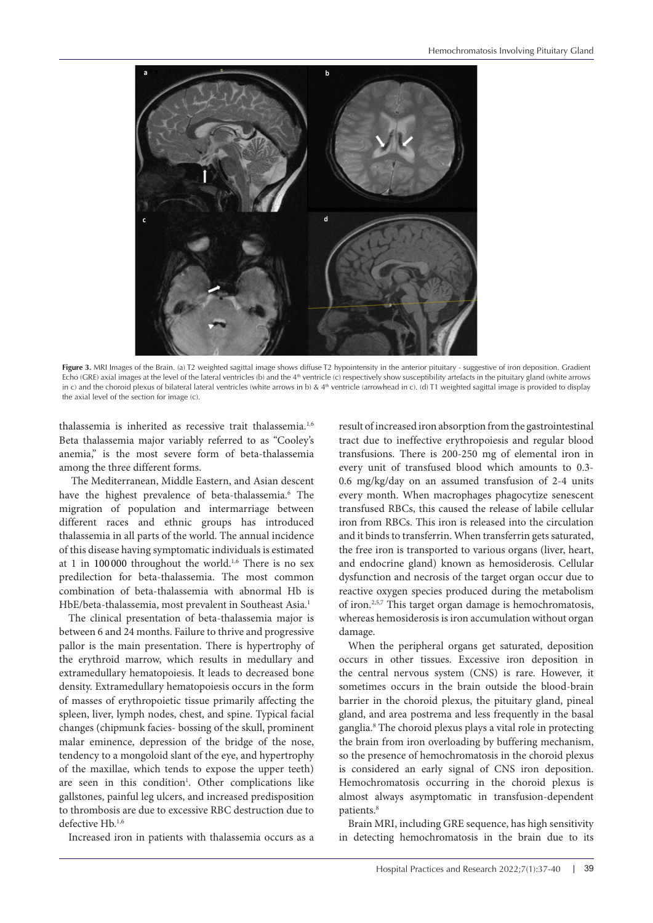<span id="page-2-0"></span>

**Figure 3.** MRI Images of the Brain. (a) T2 weighted sagittal image shows diffuse T2 hypointensity in the anterior pituitary - suggestive of iron deposition. Gradient Echo (GRE) axial images at the level of the lateral ventricles (b) and the 4th ventricle (c) respectively show susceptibility artefacts in the pituitary gland (white arrows in c) and the choroid plexus of bilateral lateral ventricles (white arrows in b) & 4<sup>th</sup> ventricle (arrowhead in c). (d) T1 weighted sagittal image is provided to display the axial level of the section for image (c).

thalassemia is inherited as recessive trait thalassemia.<sup>1,6</sup> Beta thalassemia major variably referred to as "Cooley's anemia," is the most severe form of beta-thalassemia among the three different forms.

 The Mediterranean, Middle Eastern, and Asian descent have the highest prevalence of beta-thalassemia.<sup>6</sup> The migration of population and intermarriage between different races and ethnic groups has introduced thalassemia in all parts of the world. The annual incidence of this disease having symptomatic individuals is estimated at 1 in 100 000 throughout the world.<sup>1,6</sup> There is no sex predilection for beta-thalassemia. The most common combination of beta-thalassemia with abnormal Hb is HbE/beta-thalassemia, most prevalent in Southeast Asia.1

The clinical presentation of beta-thalassemia major is between 6 and 24 months. Failure to thrive and progressive pallor is the main presentation. There is hypertrophy of the erythroid marrow, which results in medullary and extramedullary hematopoiesis. It leads to decreased bone density. Extramedullary hematopoiesis occurs in the form of masses of erythropoietic tissue primarily affecting the spleen, liver, lymph nodes, chest, and spine. Typical facial changes (chipmunk facies- bossing of the skull, prominent malar eminence, depression of the bridge of the nose, tendency to a mongoloid slant of the eye, and hypertrophy of the maxillae, which tends to expose the upper teeth) are seen in this condition<sup>1</sup>. Other complications like gallstones, painful leg ulcers, and increased predisposition to thrombosis are due to excessive RBC destruction due to defective Hb.1,6

Increased iron in patients with thalassemia occurs as a

result of increased iron absorption from the gastrointestinal tract due to ineffective erythropoiesis and regular blood transfusions. There is 200-250 mg of elemental iron in every unit of transfused blood which amounts to 0.3- 0.6 mg/kg/day on an assumed transfusion of 2-4 units every month. When macrophages phagocytize senescent transfused RBCs, this caused the release of labile cellular iron from RBCs. This iron is released into the circulation and it binds to transferrin. When transferrin gets saturated, the free iron is transported to various organs (liver, heart, and endocrine gland) known as hemosiderosis. Cellular dysfunction and necrosis of the target organ occur due to reactive oxygen species produced during the metabolism of iron.2,5,7 This target organ damage is hemochromatosis, whereas hemosiderosis is iron accumulation without organ damage.

When the peripheral organs get saturated, deposition occurs in other tissues. Excessive iron deposition in the central nervous system (CNS) is rare. However, it sometimes occurs in the brain outside the blood-brain barrier in the choroid plexus, the pituitary gland, pineal gland, and area postrema and less frequently in the basal ganglia.8 The choroid plexus plays a vital role in protecting the brain from iron overloading by buffering mechanism, so the presence of hemochromatosis in the choroid plexus is considered an early signal of CNS iron deposition. Hemochromatosis occurring in the choroid plexus is almost always asymptomatic in transfusion-dependent patients.<sup>8</sup>

Brain MRI, including GRE sequence, has high sensitivity in detecting hemochromatosis in the brain due to its